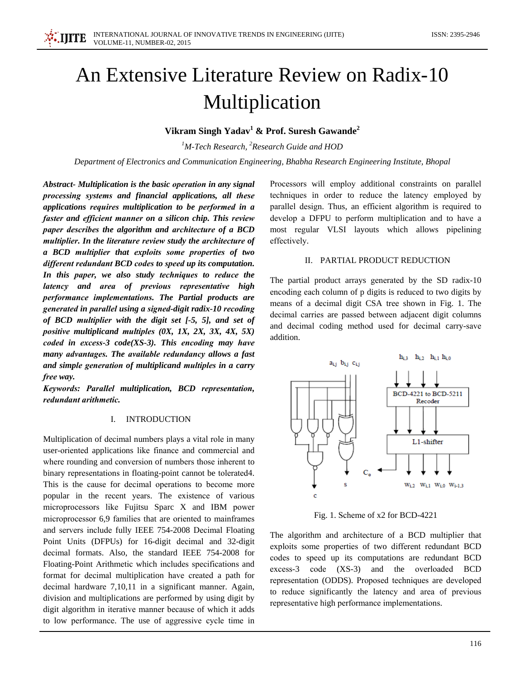# An Extensive Literature Review on Radix-10 Multiplication

# Vikram Singh Yadav<sup>1</sup> & Prof. Suresh Gawande<sup>2</sup>

 $1$ M-Tech Research,  $2$ Research Guide and HOD

Department of Electronics and Communication Engineering, Bhabha Research Engineering Institute, Bhopal

Abstract- Multiplication is the basic operation in any signal processing systems and financial applications, all these applications requires multiplication to be performed in a faster and efficient manner on a silicon chip. This review paper describes the algorithm and architecture of a BCD multiplier. In the literature review study the architecture of a BCD multiplier that exploits some properties of two different redundant BCD codes to speed up its computation. In this paper, we also study techniques to reduce the latency and area of previous representative high performance implementations. The Partial products are generated in parallel using a signed-digit radix-10 recoding of BCD multiplier with the digit set [-5, 5], and set of positive multiplicand multiples  $(0X, 1X, 2X, 3X, 4X, 5X)$ coded in excess-3  $code(XS-3)$ . This encoding may have many advantages. The available redundancy allows a fast and simple generation of multiplicand multiples in a carry free way.

Keywords: Parallel multiplication, BCD representation, redundant arithmetic.

# I. INTRODUCTION

Multiplication of decimal numbers plays a vital role in many user-oriented applications like finance and commercial and where rounding and conversion of numbers those inherent to binary representations in floating-point cannot be tolerated 4. This is the cause for decimal operations to become more popular in the recent years. The existence of various microprocessors like Fujitsu Sparc X and IBM power microprocessor 6,9 families that are oriented to mainframes and servers include fully IEEE 754-2008 Decimal Floating Point Units (DFPUs) for 16-digit decimal and 32-digit decimal formats. Also, the standard IEEE 754-2008 for Floating-Point Arithmetic which includes specifications and format for decimal multiplication have created a path for decimal hardware 7,10,11 in a significant manner. Again, division and multiplications are performed by using digit by digit algorithm in iterative manner because of which it adds to low performance. The use of aggressive cycle time in

Processors will employ additional constraints on parallel techniques in order to reduce the latency employed by parallel design. Thus, an efficient algorithm is required to develop a DFPU to perform multiplication and to have a most regular VLSI layouts which allows pipelining effectively.

## II. PARTIAL PRODUCT REDUCTION

The partial product arrays generated by the SD radix-10 encoding each column of p digits is reduced to two digits by means of a decimal digit CSA tree shown in Fig. 1. The decimal carries are passed between adjacent digit columns and decimal coding method used for decimal carry-save addition.



Fig. 1. Scheme of x2 for BCD-4221

The algorithm and architecture of a BCD multiplier that exploits some properties of two different redundant BCD codes to speed up its computations are redundant BCD excess-3 code (XS-3) and the overloaded BCD representation (ODDS). Proposed techniques are developed to reduce significantly the latency and area of previous representative high performance implementations.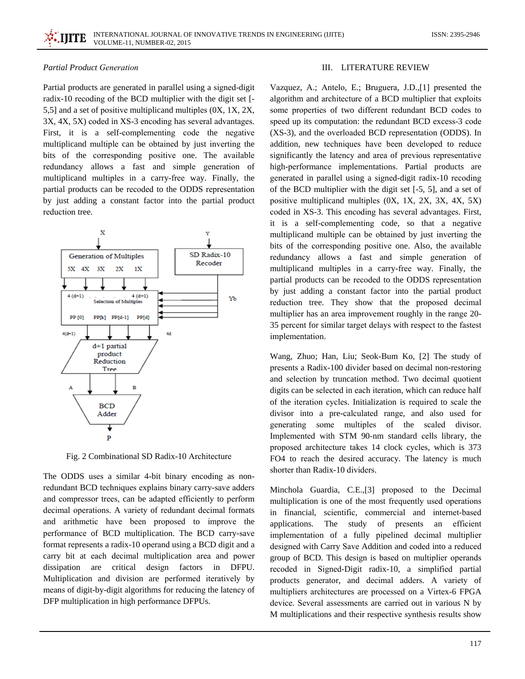# **Partial Product Generation**

Partial products are generated in parallel using a signed-digit radix-10 recoding of the BCD multiplier with the digit set [-5,5] and a set of positive multiplicand multiples (0X, 1X, 2X, 3X, 4X, 5X) coded in XS-3 encoding has several advantages. First, it is a self-complementing code the negative multiplicand multiple can be obtained by just inverting the bits of the corresponding positive one. The available redundancy allows a fast and simple generation of multiplicand multiples in a carry-free way. Finally, the partial products can be recoded to the ODDS representation by just adding a constant factor into the partial product reduction tree.



Fig. 2 Combinational SD Radix-10 Architecture

The ODDS uses a similar 4-bit binary encoding as nonredundant BCD techniques explains binary carry-save adders and compressor trees, can be adapted efficiently to perform decimal operations. A variety of redundant decimal formats and arithmetic have been proposed to improve the performance of BCD multiplication. The BCD carry-save format represents a radix-10 operand using a BCD digit and a carry bit at each decimal multiplication area and power dissipation are critical design factors in DFPU. Multiplication and division are performed iteratively by means of digit-by-digit algorithms for reducing the latency of DFP multiplication in high performance DFPUs.

#### **III. LITERATURE REVIEW**

Vazquez, A.; Antelo, E.; Bruguera, J.D., [1] presented the algorithm and architecture of a BCD multiplier that exploits some properties of two different redundant BCD codes to speed up its computation: the redundant BCD excess-3 code (XS-3), and the overloaded BCD representation (ODDS). In addition, new techniques have been developed to reduce significantly the latency and area of previous representative high-performance implementations. Partial products are generated in parallel using a signed-digit radix-10 recoding of the BCD multiplier with the digit set [-5, 5], and a set of positive multiplicand multiples (0X, 1X, 2X, 3X, 4X, 5X) coded in XS-3. This encoding has several advantages. First, it is a self-complementing code, so that a negative multiplicand multiple can be obtained by just inverting the bits of the corresponding positive one. Also, the available redundancy allows a fast and simple generation of multiplicand multiples in a carry-free way. Finally, the partial products can be recoded to the ODDS representation by just adding a constant factor into the partial product reduction tree. They show that the proposed decimal multiplier has an area improvement roughly in the range 20-35 percent for similar target delays with respect to the fastest implementation.

Wang, Zhuo; Han, Liu; Seok-Bum Ko, [2] The study of presents a Radix-100 divider based on decimal non-restoring and selection by truncation method. Two decimal quotient digits can be selected in each iteration, which can reduce half of the iteration cycles. Initialization is required to scale the divisor into a pre-calculated range, and also used for generating some multiples of the scaled divisor. Implemented with STM 90-nm standard cells library, the proposed architecture takes 14 clock cycles, which is 373 FO4 to reach the desired accuracy. The latency is much shorter than Radix-10 dividers.

Minchola Guardia, C.E., [3] proposed to the Decimal multiplication is one of the most frequently used operations in financial, scientific, commercial and internet-based applications. The study of presents an efficient implementation of a fully pipelined decimal multiplier designed with Carry Save Addition and coded into a reduced group of BCD. This design is based on multiplier operands recoded in Signed-Digit radix-10, a simplified partial products generator, and decimal adders. A variety of multipliers architectures are processed on a Virtex-6 FPGA device. Several assessments are carried out in various N by M multiplications and their respective synthesis results show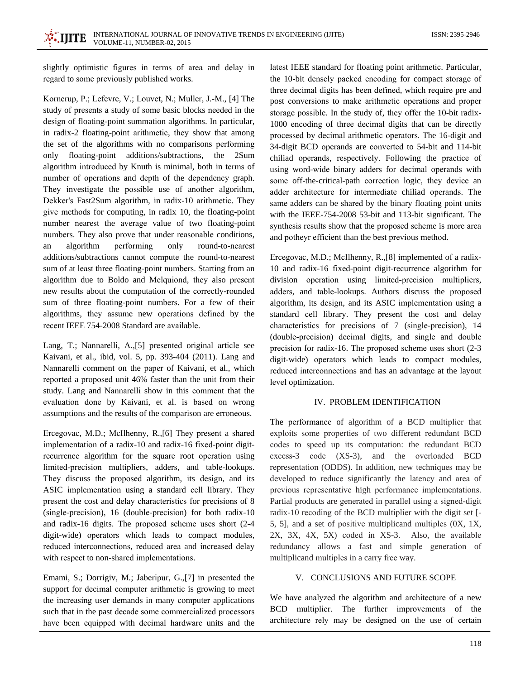slightly optimistic figures in terms of area and delay in regard to some previously published works.

Kornerup, P.; Lefevre, V.; Louvet, N.; Muller, J.-M., [4] The study of presents a study of some basic blocks needed in the design of floating-point summation algorithms. In particular, in radix-2 floating-point arithmetic, they show that among the set of the algorithms with no comparisons performing only floating-point additions/subtractions, the 2Sum algorithm introduced by Knuth is minimal, both in terms of number of operations and depth of the dependency graph. They investigate the possible use of another algorithm, Dekker's Fast2Sum algorithm, in radix-10 arithmetic. They give methods for computing, in radix 10, the floating-point number nearest the average value of two floating-point numbers. They also prove that under reasonable conditions, algorithm performing only round-to-nearest an additions/subtractions cannot compute the round-to-nearest sum of at least three floating-point numbers. Starting from an algorithm due to Boldo and Melquiond, they also present new results about the computation of the correctly-rounded sum of three floating-point numbers. For a few of their algorithms, they assume new operations defined by the recent IEEE 754-2008 Standard are available.

Lang, T.; Nannarelli, A., [5] presented original article see Kaivani, et al., ibid, vol. 5, pp. 393-404 (2011). Lang and Nannarelli comment on the paper of Kaivani, et al., which reported a proposed unit 46% faster than the unit from their study. Lang and Nannarelli show in this comment that the evaluation done by Kaivani, et al. is based on wrong assumptions and the results of the comparison are erroneous.

Ercegovac, M.D.; McIlhenny, R., [6] They present a shared implementation of a radix-10 and radix-16 fixed-point digitrecurrence algorithm for the square root operation using limited-precision multipliers, adders, and table-lookups. They discuss the proposed algorithm, its design, and its ASIC implementation using a standard cell library. They present the cost and delay characteristics for precisions of 8 (single-precision), 16 (double-precision) for both radix-10 and radix-16 digits. The proposed scheme uses short (2-4 digit-wide) operators which leads to compact modules, reduced interconnections, reduced area and increased delay with respect to non-shared implementations.

Emami, S.; Dorrigiv, M.; Jaberipur, G.,[7] in presented the support for decimal computer arithmetic is growing to meet the increasing user demands in many computer applications such that in the past decade some commercialized processors have been equipped with decimal hardware units and the

latest IEEE standard for floating point arithmetic. Particular, the 10-bit densely packed encoding for compact storage of three decimal digits has been defined, which require pre and post conversions to make arithmetic operations and proper storage possible. In the study of, they offer the 10-bit radix-1000 encoding of three decimal digits that can be directly processed by decimal arithmetic operators. The 16-digit and 34-digit BCD operands are converted to 54-bit and 114-bit chiliad operands, respectively. Following the practice of using word-wide binary adders for decimal operands with some off-the-critical-path correction logic, they device an adder architecture for intermediate chiliad operands. The same adders can be shared by the binary floating point units with the IEEE-754-2008 53-bit and 113-bit significant. The synthesis results show that the proposed scheme is more area and potheyr efficient than the best previous method.

Ercegovac, M.D.; McIlhenny, R., [8] implemented of a radix-10 and radix-16 fixed-point digit-recurrence algorithm for division operation using limited-precision multipliers, adders, and table-lookups. Authors discuss the proposed algorithm, its design, and its ASIC implementation using a standard cell library. They present the cost and delay characteristics for precisions of 7 (single-precision), 14 (double-precision) decimal digits, and single and double precision for radix-16. The proposed scheme uses short (2-3) digit-wide) operators which leads to compact modules, reduced interconnections and has an advantage at the layout level optimization.

#### IV. PROBLEM IDENTIFICATION

The performance of algorithm of a BCD multiplier that exploits some properties of two different redundant BCD codes to speed up its computation: the redundant BCD excess-3 code (XS-3), and the overloaded BCD representation (ODDS). In addition, new techniques may be developed to reduce significantly the latency and area of previous representative high performance implementations. Partial products are generated in parallel using a signed-digit radix-10 recoding of the BCD multiplier with the digit set [-5, 5], and a set of positive multiplicand multiples (0X, 1X, 2X, 3X, 4X, 5X) coded in XS-3. Also, the available redundancy allows a fast and simple generation of multiplicand multiples in a carry free way.

# V. CONCLUSIONS AND FUTURE SCOPE

We have analyzed the algorithm and architecture of a new BCD multiplier. The further improvements of the architecture rely may be designed on the use of certain